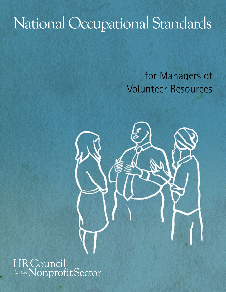# National Occupational Standards

# for Managers of Volunteer Resources

# **HRCouncil** for the Nonprofit Sector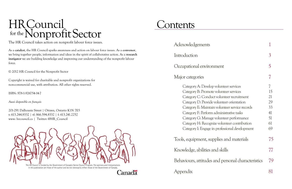# HR Council<br>for the Nonprofit Sector

The HR Council takes action on nonprofit labour force issues.

As a **catalyst**, the HR Council sparks awareness and action on labour force issues. As a **convenor**, we bring together people, information and ideas in the spirit of collaborative action. As a **research instigator** we are building knowledge and improving our understanding of the nonprofit labour force.

© 2012 HR Council for the Nonprofit Sector

Copyright is waived for charitable and nonprofit organizations for non-commercial use, with attribution. All other rights reserved.

ISBN: 978-1-926754-14-7

*Aussi disponible en français*

201-291 Dalhousie Street | Ottawa, Ontario K1N 7E5 t: 613.244.8332 | tf: 866.594.8332 | f: 613.241.2252 www: hrcouncil.ca | Twitter: @HR\_Council



in this publication are those of the author and do not necessarily reflect those of the Government of Canada.

Canadä

# **Contents**

Acknowledgements

| Introduction                                                                                                                                                                                                                                                                                                                                                                                                           |                                              |
|------------------------------------------------------------------------------------------------------------------------------------------------------------------------------------------------------------------------------------------------------------------------------------------------------------------------------------------------------------------------------------------------------------------------|----------------------------------------------|
| Occupational environment                                                                                                                                                                                                                                                                                                                                                                                               |                                              |
| Major categories                                                                                                                                                                                                                                                                                                                                                                                                       |                                              |
| Category A: Develop volunteer services<br>Category B: Promote volunteer services<br>Category C: Conduct volunteer recruitment<br>Category D: Provide volunteer orientation<br>Category E: Maintain volunteer service records<br>Category F: Perform administrative tasks<br>Category G: Manage volunteer performance<br>Category H: Recognize volunteer contribution<br>Category I: Engage in professional development | 15<br>21<br>29<br>33<br>41<br>51<br>61<br>69 |
| Tools, equipment, supplies and materials                                                                                                                                                                                                                                                                                                                                                                               | 75                                           |
| Knowledge, abilities and skills                                                                                                                                                                                                                                                                                                                                                                                        |                                              |
| Behaviours, attitudes and personal characteristics                                                                                                                                                                                                                                                                                                                                                                     | 79                                           |
| Appendix                                                                                                                                                                                                                                                                                                                                                                                                               | 81                                           |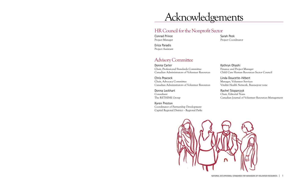# HR Council for the Nonprofit Sector

# Acknowledgements

Conrad Prince Project Manager

Erica Paradis Project Assistant Sarah Peek Project Coordinator

# Advisory Committee

Donna Carter Chair, Professional Standards Committee Canadian Administrators of Volunteer Resources

Chris Peacock Chair, Advocacy Committee Canadian Administrators of Volunteer Resources

Donna Lockhart Consultant The RETHINK Group

Karen Preston Coordinator of Partnership Development Capital Regional District – Regional Parks



Kathryn Ohashi Finance and Project Manager Child Care Human Resources Sector Council

Linda Doucette-Hébert Manager, Volunteer Services Vitalité Health Network, Beausejour zone

Rachel Stoparczyk Chair, Editorial Team Canadian Journal of Volunteer Resources Management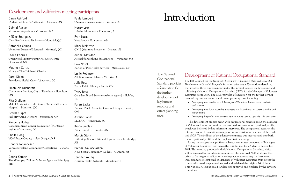Dawn Ashford Durham Children's Aid Society – Oshawa, ON

Gabriel Avelar Vancouver Aquarium – Vancouver, BC

Hélène Bourgaize Canadian Hemophilia Society – Montréal, QC

Antonella Campa Volunteer Bureau of Montréal – Montréal, QC

Leona Conrick Greenwood Military Family Resource Centre – Greenwood, NS

Maureen Curtis Variety – The Children's Charity

Carol Dixon Providence Health Care – Vancouver, BC

Emanuela Ducharme Community Services, City of Hamilton – Hamilton, ON

Rita Giulione McGill University Health Centre/Montréal General Hospital – Montréal, QC

Berkha Gupta Peel HIV/AIDS Network – Mississauga, ON

Kimberly Hodge Canadian Breast Cancer Foundation (BC/Yukon region) – Vancouver, BC

Sheila Hoeg VON Pictou County – New Glasgow, NS

Honora Johannesen Vancouver Island Community Corrections – Victoria, BC

Donna Korade The Winnipeg Children's Access Agency – Winnipeg, MB

Paula Lambert Okanagan Science Centre – Vernon, BC

Honey Leon L'Arche Edmonton – Edmonton, AB

Fran Lucas Northlands – Edmonton, AB

Mark McIntosh CNIB (Maritime Provinces) – Halifax, NS

Arisnel Mésidor Accueil francophone du Manitoba – Winnipeg, MB

Ewa Nosek Region of Peel Health Services – Mississauga, ON

Leslie Robinson AIDS Vancouver Island – Victoria, BC

Julie Ross Barrie Public Library – Barrie, ON

Tracy Ross Canadian Blood Services (Atlantic region) – Halifax, NS

Karen Sacke Bernard Betel Centre for Creative Living – Toronto, ON

Astarte Sands MOSAIC – Vancouver, BC

Kiona Sinclair Pride Toronto – Toronto, ON

Marcie Stork Lethbridge Senior Citizens Organization – Lethbridge, AB

Brenda Wallace-Allen Nova Scotia Community College – Canning, NS

Jennifer Young Horizon Health Network – Moncton, NB

# Development and validation meeting participants

# Development of National Occupational Standard

The HR Council for the Nonprofit Sector's (HR Council) *Skills and Leadership Development in Canada's Nonprofit Sector* initiative was a 27-month undertaking that involved three component projects. This project focused on developing and validating a National Occupational Standard (NOS) for the Manager of Volunteer Resources occupation. The NOS provides a foundation for the further development of key human resource and career planning tools including:

- performance
- management
- 

The development process began with occupational research about the Manager of Volunteer Resources position that was used to create an occupational profile, which was bolstered by key informant interviews. The occupational research also informed an implementation strategy for future distribution and use of the finalized NOS. The feedback of the advisory committee was incorporated into both the occupational profile and the implementation strategy.

Using the occupational profile as a base, a committee composed of Managers of Volunteer Resources from across the country met for 2.5 days in September 2011. This meeting produced a draft National Occupational Standard, which will be reviewed by the advisory committee. The approved NOS draft was then taken to four regional validation meetings across the country. In these meetings, committees composed of Managers of Volunteer Resources from across the country discussed, augmented, revised and validated the original NOS draft. This National Occupational Standard was approved and finalized by the advisory committee.

# Introduction

• Developing tools used to recruit Managers of Volunteer Resources and evaluate

• Developing tools for prospective employees and incumbents for career planning and

• Developing the professional development resources used to upgrade skills over time

The National **Occupational** Standard provides a foundation for the further development of key human resource and career planning tools.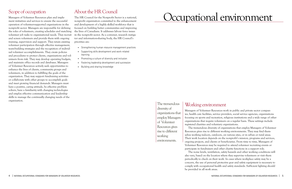# Scope of occupation

Managers of Volunteer Resources plan and implement initiatives and services to ensure the successful operation of volunteer-supported organizations in the nonprofit sector. Managers are responsible for defining the roles of volunteers, creating schedules and matching volunteer job tasks to organizational needs. They recruit and screen volunteers and provide them with ongoing training, supervision and support. They retain existing volunteer participation through effective management, team-building strategies and the recognition of individual volunteer accomplishments. They create policies and procedures to protect clients, organizations and volunteers from risk. They may develop operating budgets, and maintain office records and databases. Managers of Volunteer Resources actively seek opportunities to enhance the lives of clients, community groups and volunteers, in addition to fulfilling the goals of the organization. They may support fundraising activities or collaborate with other groups to accomplish goals and meet growing financial demands. Managers must have a positive, caring attitude, be effective problem solvers, have a familiarity with changing technologies and employ effective communication and leadership skills to manage the continually changing needs of the organization.

- Strengthening human resource management practices
- • Supporting skills development and work-related learning
- Promoting a culture of diversity and inclusion
- • Fostering leadership development and succession
- • Building and sharing knowledge

# About the HR Council

The HR Council for the Nonprofit Sector is a national, nonprofit organization committed to the enhancement and development of a highly skilled workforce that is focused on building better communities and improving the lives of Canadians. It addresses labour force issues in the nonprofit sector. As a convener, research instigator and information-sharing body, the HR Council's priorities are:

# Working environment

Managers of Volunteer Resources work in public and private sector companies, health care facilities, service providers, social service agencies, organizations focusing on sports and recreation, religious institutions and a wide range of other organizations that require volunteers on a regular basis. These settings include registered charities and voluntary organizations.

The tremendous diversity of organizations that employ Managers of Volunteer The noise levels, ventilation, safety hazards and other working conditions will

Resources gives rise to different working environments. They may find themselves working indoors, outdoors, on various sites, or in urban or rural areas. Their work location depends on the nonprofit's mission, programs and services, ongoing projects, and clients or beneficiaries. From time to time, Managers of Volunteer Resources may be required to attend volunteer recruiting events or participate in fundraisers and other charity functions in a support role. also vary, based on the location where they supervise volunteers or visit them periodically to check on their work. In cases where workplace safety may be a concern, the use of personal protective gear and safety equipment is necessary to comply with occupational health and safety standards. Sufficient lighting should be provided in all work areas.

# Occupational environment

# The tremendous diversity of organizations that employ Managers of Volunteer Resources gives rise to different working environments.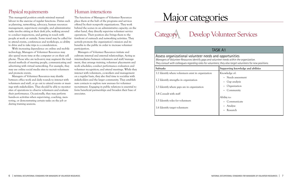# Physical requirements

This managerial position entails minimal manual labour in the exercise of regular functions. Duties such as planning, networking, advocacy, human resources management, supervisory oversight, and administrative tasks involve sitting at their desk jobs, walking around to conduct inspections, and getting in touch with people at work or outside. Some travel may be called for to attend events, conferences and workshops, so ability to drive and to take trips is a consideration.

With increasing dependence on online and mobile technology, Managers of Volunteer Resources may also spend more time at the computer or on their cell phone. Those who are tech-savvy may augment the traditional methods of meeting people, communicating and advertising with virtual networking. For example, they may use online social media sites to recruit volunteers and promote events.

Managers of Volunteer Resources may shuttle between office work and daily rounds to interact with volunteers and staff, or go out to attend events or meetings with stakeholders. They should be able to monitor sites of operations to observe volunteers and evaluate their performance. Occasionally, they may perform hands-on activities when supervising, coaching, mentoring, or demonstrating certain tasks on the job or during training sessions.

# Human interactions

The functions of Managers of Volunteer Resources place them at the hub of the programs and services offered by their nonprofit organizations. They work behind the scenes in an administrative capacity; on the other hand, they directly supervise volunteer service operations. Their position also brings them to the forefront of outreach and networking activities. They actively promote the organization's mission and its benefits to the public in order to increase volunteer participation.

Managers of Volunteer Resources initiate and cultivate internal and external relationships. Acting as intermediaries between volunteers and staff/management, they arrange training, volunteer placements and work schedules; conduct performance evaluation and volunteer recognition; and attend meetings. While they interact with volunteers, co-workers and management on a regular basis, they also find time to socialize with stakeholders and the larger community. They establish new contacts to explore new avenues for volunteer recruitment. Engaging in public relations is essential to form beneficial partnerships and broaden their base of associates.

# Major categories

# **AV**



Assess organizational volunteer needs and opportunities *Managers of Volunteer Resources identify gaps and volunteer needs within the organization. They consult with colleagues regarding roles for volunteers; they also target volunteers for new positions.*

- 1.2 Identify strengths in organization
- 1.3 Identify where gaps are in organization

| <b>Subtasks</b>                                     | Supporting knowledge and abilities |
|-----------------------------------------------------|------------------------------------|
| 1.1 Identify where volunteers exist in organization | Knowledge of:                      |
|                                                     | • Needs assessment                 |
| 1.2 Identify strengths in organization              | Gap analysis<br>$\bullet$          |
| 1.3 Identify where gaps are in organization         | Organization<br>$\bullet$          |
|                                                     | Community<br>$\bullet$             |
| 1.4 Consult with staff                              |                                    |
|                                                     | Ability to:                        |
| 1.5 Identify roles for volunteers                   | Communicate<br>$\bullet$           |
| 1.6 Identify target volunteers                      | Analyze<br>$\bullet$               |
|                                                     | Research                           |
|                                                     |                                    |

- 1.5 Identify roles for volunteers
- 1.6 Identify target volunteers

# Develop Volunteer Services

# TASK A1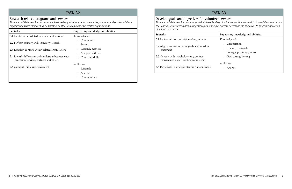## Research related programs and services

*Managers of Volunteer Resources research related organizations and compare the programs and services of these organizations with their own. They maintain contact with colleagues in related organizations.*

| Subtasks                                                                                        | Supporting knowledge and abilities |
|-------------------------------------------------------------------------------------------------|------------------------------------|
| 2.1 Identify other related programs and services                                                | Knowledge of:                      |
|                                                                                                 | Community<br>$\bullet$             |
| 2.2 Perform primary and secondary research                                                      | • Sector                           |
| 2.3 Establish contacts within related organizations                                             | • Research methods                 |
|                                                                                                 | Analysis methods<br>$\bullet$      |
| 2.4 Identify differences and similarities between your<br>programs/services/partners and others | Computer skills<br>$\bullet$       |
|                                                                                                 | Ability to:                        |
| 2.5 Conduct initial risk assessment                                                             | Research<br>$\bullet$              |
|                                                                                                 | Analyze<br>$\bullet$               |
|                                                                                                 | Communicate                        |
|                                                                                                 |                                    |

# Develop goals and objectives for volunteer services

*Managers of Volunteer Resources ensure that the objectives of volunteer services align with those of the organization. They consult with stakeholders during strategic planning in order to determine the objectives to guide the operation of volunteer services.*

- 3.2 Align volunteer services' goals with mission statement
- 3.3 Consult with stakeholders (e.g., senior management, staff, existing volunteers)

| Subtasks                                                                               | Supporting knowledge and abilities                                   |
|----------------------------------------------------------------------------------------|----------------------------------------------------------------------|
| 3.1 Review mission and vision of organization                                          | Knowledge of:                                                        |
| 3.2 Align volunteer services' goals with mission<br>statement                          | Organization<br>• Resource materials<br>• Strategic planning process |
| 3.3 Consult with stakeholders (e.g., senior<br>management, staff, existing volunteers) | Goal setting/writing                                                 |
| 3.4 Participate in strategic planning, if applicable                                   | Ability to:<br>Analyze                                               |

# TASK A3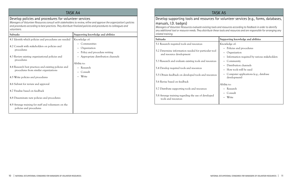# Develop policies and procedures for volunteer services

*Managers of Volunteer Resources consult with stakeholders to review, refine and approve the organization's policies and procedures according to best practices. They distribute finalized policies and procedures to colleagues and volunteers.*

| <b>Subtasks</b>                                                                                                                     | Supporting knowledge and abilities                          |
|-------------------------------------------------------------------------------------------------------------------------------------|-------------------------------------------------------------|
| 4.1 Identify which policies and procedures are needed                                                                               | Knowledge of:                                               |
| 4.2 Consult with stakeholders on policies and<br>procedures                                                                         | Communities<br>Organization<br>Policy and procedure writing |
| 4.3 Review existing organizational policies and<br>procedures                                                                       | Appropriate distribution channels                           |
| 4.4 Research best practices and existing policies and<br>procedures from similar organizations<br>4.5 Write policies and procedures | Ability to:<br>Research<br>Consult<br>Write                 |
| 4.6 Submit for review and approval                                                                                                  |                                                             |
| 4.7 Finalize based on feedback                                                                                                      |                                                             |
| 4.8 Disseminate new policies and procedures                                                                                         |                                                             |
| 4.9 Arrange training for staff and volunteers on the<br>policies and procedures                                                     |                                                             |

| Develop supporting tools and resources                    |
|-----------------------------------------------------------|
| manuals, I.D. badges)                                     |
| Managers of Volunteer Resources evaluate existing too     |
| any additional tool or resource needs. They distribute th |

*Managers of Volunteer Resources evaluate existing tools and resources according to feedback in order to identify any additional tool or resource needs. They distribute these tools and resources and are responsible for arranging any* 

*related training.*

- 5.1 Research required tools and resources
- 5.2 Determine information needed for particular tool and resource development
- 5.3 Research and evaluate existing tools and resource
- 5.4 Develop required tools and resources
- 5.5 Obtain feedback on developed tools and resource
- 5.6 Revise based on feedback
- 5.7 Distribute supporting tools and resources
- 5.8 Arrange training regarding the use of developed tools and resources

# TASK A5

# for volunteer services (e.g., forms, databases,

| Supporting knowledge and abilities                                                                       |
|----------------------------------------------------------------------------------------------------------|
| Knowledge of:                                                                                            |
| Policies and procedures<br>Organization<br>Information required by various stakeholders                  |
| Community                                                                                                |
| Distribution channels<br>How tools will be used<br>Computer applications (e.g., database<br>development) |
| Ability to:                                                                                              |
| Research                                                                                                 |
| Consult<br>Write                                                                                         |
|                                                                                                          |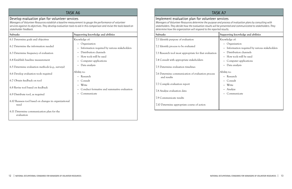## Develop evaluation plan for volunteer services

*Managers of Volunteer Resources establish a baseline measurement to gauge the performance of volunteer services against its objectives. They develop evaluation tools to aid in this comparison and revise the tools based on stakeholder feedback.*

| Subtasks                                                                               | Supporting knowledge and abilities                               |
|----------------------------------------------------------------------------------------|------------------------------------------------------------------|
| 6.1 Determine goals and objectives                                                     | Knowledge of:                                                    |
| 6.2 Determine the information needed                                                   | • Organization<br>Information required by various stakeholders   |
| 6.3 Determine frequency of evaluation                                                  | Distribution channels                                            |
| 6.4 Establish baseline measurement<br>6.5 Determine evaluation methods (e.g., surveys) | How tools will be used<br>Computer applications<br>Data analysis |
| 6.6 Develop evaluation tools required                                                  | Ability to:<br>• Research                                        |
| 6.7 Obtain feedback on tool                                                            | Consult                                                          |
| 6.8 Revise tool based on feedback                                                      | Write<br>Conduct formative and summative evaluation              |
| 6.9 Distribute tool, as required                                                       | Communicate                                                      |
| 6.10 Reassess tool based on changes in organizational<br>need                          |                                                                  |
| 6.11 Determine communication plan for the<br>evaluation                                |                                                                  |

# TASK A7 Implement evaluation plan for volunteer services *Managers of Volunteer Resources determine the purpose and process of evaluation plans by consulting with determine how the organization will respond to the reported results.* **Subtasks Supporting knowledge and abilities** 7.1 Identify purpose of evaluation 7.2 Identify process to be evaluated

- 7.3 Research tool most appropriate for that evaluation
- 7.4 Consult with appropriate stakeholders
- 7.5 Determine evaluation timelines
- 7.6 Determine communication of evaluation process and results
- 7.7 Compile evaluation report
- 7.8 Analyze evaluation data
- 7.9 Communicate results
- 7.10 Determine appropriate course of action

*stakeholders. They decide how the evaluation results will be presented and communicated to stakeholders. They* 

|    | Supporting knowledge and abilities                                      |  |
|----|-------------------------------------------------------------------------|--|
|    | Knowledge of:                                                           |  |
|    | Organization                                                            |  |
|    | Information required by various stakeholders                            |  |
| 5n | Distribution channels                                                   |  |
|    | How tools will be used                                                  |  |
|    | Computer applications                                                   |  |
|    | Data analysis<br>$\bullet$                                              |  |
|    | Ability to:<br>Research<br>Consult<br>Write<br>• Analyze<br>Communicate |  |
|    |                                                                         |  |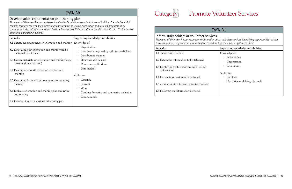## Develop volunteer orientation and training plan

*Managers of Volunteer Resources determine the details of volunteer orientation and training. They decide which training formats, content, facilitators and schedules will be used in orientation and training programs. They communicate this information to stakeholders. Managers of Volunteer Resources also evaluate the effectiveness of orientation and training plans.*

| Subtasks                                                                                                                                            | Supporting knowledge and abilities                                                                                                        |
|-----------------------------------------------------------------------------------------------------------------------------------------------------|-------------------------------------------------------------------------------------------------------------------------------------------|
| 8.1 Determine components of orientation and training                                                                                                | Knowledge of:                                                                                                                             |
| 8.2 Determine how orientation and training will be<br>delivered ( <i>i.e.</i> , format)<br>8.3 Design materials for orientation and training (e.g., | Organization<br>$\bullet$<br>Information required by various stakeholders<br>$\bullet$<br>Distribution channels<br>How tools will be used |
| presentation, workshop)                                                                                                                             | Computer applications<br>$\bullet$<br>Data analysis<br>$\bullet$                                                                          |
| 8.4 Determine who will deliver orientation and<br>training                                                                                          | Ability to:                                                                                                                               |
| 8.5 Determine frequency of orientation and training<br>delivery                                                                                     | • Research<br>Consult<br>$\bullet$                                                                                                        |
| 8.6 Evaluate orientation and training plan and revise<br>as necessary                                                                               | Write<br>Conduct formative and summative evaluation<br>Communicate                                                                        |
| 8.7 Communicate orientation and training plan                                                                                                       |                                                                                                                                           |

Inform stakeholders of volunteer services *Managers of Volunteer Resources prepare information about volunteer services, identifying opportunities to share this information. They present this information to stakeholders and follow up as necessary.*

- 1.2 Determine information to be delivered
- 1.3 Identify or create opportunities to deliver information
- 1.4 Prepare information to be delivered
- 1.5 Communicate information to stakeholders
- 1.6 Follow up on information delivered

# Promote Volunteer Services

# TASK B1

| Subtasks                                                       | Supporting knowledge and abilities           |
|----------------------------------------------------------------|----------------------------------------------|
| 1.1 Identify stakeholders                                      | Knowledge of:                                |
| 1.2 Determine information to be delivered                      | • Stakeholders<br>Organization               |
| 1.3 Identify or create opportunities to deliver<br>information | Community<br>Ability to:                     |
| 1.4 Prepare information to be delivered                        | Facilitate                                   |
| 1.5 Communicate information to stakeholders                    | Use different delivery channels<br>$\bullet$ |
| 1.6 Follow up on information delivered                         |                                              |



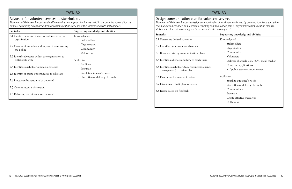# TASK B<sub>2</sub>

## Advocate for volunteer services to stakeholders

*Managers of Volunteer Resources identify the value and impact of volunteers within the organization and for the public. Capitalizing on opportunities for communication, they share this information with stakeholders.*

| Subtasks                                                              | Supporting knowledge and abilities                           |
|-----------------------------------------------------------------------|--------------------------------------------------------------|
| 2.1 Identify value and impact of volunteers to the<br>organization    | Knowledge of:<br>Stakeholders                                |
| 2.2 Communicate value and impact of volunteering to<br>the public     | Organization<br>Community<br>Volunteers                      |
| 2.3 Identify advocates within the organization to<br>collaborate with | Ability to:                                                  |
| 2.4 Identify stakeholders and collaborators                           | Facilitate<br>Persuade                                       |
| 2.5 Identify or create opportunities to advocate                      | Speak to audience's needs<br>Use different delivery channels |
| 2.6 Prepare information to be delivered                               |                                                              |
| 2.7 Communicate information                                           |                                                              |
| 2.8 Follow up on information delivered                                |                                                              |

# Design communication plan for volunteer services *Managers of Volunteer Resources design communication plans that are informed by organizational goals, existing communication channels and research of existing communication plans. They submit communication plans to*

*stakeholders for review on a regular basis and revise them as required.*

| Subtasks                                                                            | Supporting knowledge and abilities                        |
|-------------------------------------------------------------------------------------|-----------------------------------------------------------|
| 3.1 Determine desired outcomes                                                      | Knowledge of:                                             |
|                                                                                     | Stakeholders                                              |
| 3.2 Identify communication channels                                                 | Organization                                              |
| 3.3 Research existing communication plans                                           | Community                                                 |
|                                                                                     | Volunteers                                                |
| 3.4 Identify audiences and how to reach them                                        | Delivery channels (e.g., PSA <sup>*</sup> , social media) |
| 3.5 Identify stakeholders (e.g., volunteers, clients,<br>management) to review plan | Computer applications                                     |
|                                                                                     | • * public service announcement                           |
| 3.6 Determine frequency of review                                                   | Ability to:                                               |
|                                                                                     | • Speak to audience's needs                               |
| 3.7 Disseminate draft plan for review                                               | Use different delivery channels                           |
| 3.8 Revise based on feedback                                                        | Communicate                                               |
|                                                                                     | Persuade                                                  |
|                                                                                     | Create effective messaging                                |
|                                                                                     | Collaborate                                               |

# TASK B3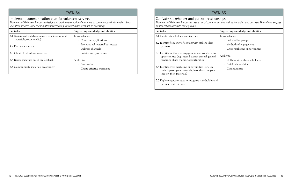# TASK B4

## Implement communication plan for volunteer services

*Managers of Volunteer Resources design and produce promotional materials to communicate information about volunteer services. They revise materials according to stakeholder feedback as necessary.*

| <b>Subtasks</b>                                                                  | Supporting knowledge and abilities                                              |
|----------------------------------------------------------------------------------|---------------------------------------------------------------------------------|
| 4.1 Design materials (e.g., newsletters, promotional<br>materials, social media) | Knowledge of:<br>Computer applications                                          |
| 4.2 Produce materials<br>4.3 Obtain feedback on materials                        | Promotional material businesses<br>Delivery channels<br>Policies and procedures |
| 4.4 Revise materials based on feedback<br>4.5 Communicate materials accordingly  | Ability to:<br>Be creative<br>Create effective messaging                        |

Cultivate stakeholder and partner relationships *Managers of Volunteer Resources keep track of communications with stakeholders and partners. They aim to engage and/or collaborate with these groups.*

- 5.1 Identify stakeholders and partners
- 5.2 Identify frequency of contact with stakeholders partners
- 5.3 Identify methods of engagement and collaboration opportunities (e.g., attend events, annual general meetings, share training opportunities)
- 5.4 Identify cross-marketing opportunities (e.g., use their logo on your materials, have them use your logo on their materials)
- 5.5 Explore opportunities to recognize stakeholder and partner contributions

# TASK B5

| Subtasks                                                                                                                                              | Supporting knowledge and abilities                                            |
|-------------------------------------------------------------------------------------------------------------------------------------------------------|-------------------------------------------------------------------------------|
| 5.1 Identify stakeholders and partners<br>5.2 Identify frequency of contact with stakeholders<br>partners                                             | Knowledge of:<br>• Stakeholder groups<br>Methods of engagement<br>$\bullet$   |
| 5.3 Identify methods of engagement and collaboration<br>opportunities (e.g., attend events, annual general<br>meetings, share training opportunities) | Cross-marketing opportunities<br>Ability to:<br>Collaborate with stakeholders |
| 5.4 Identify cross-marketing opportunities (e.g., use<br>their logo on your materials, have them use your<br>logo on their materials)                 | Build relationships<br>Communicate                                            |
| 5.5 Explore opportunities to recognize stakeholder and<br>partner contributions                                                                       |                                                                               |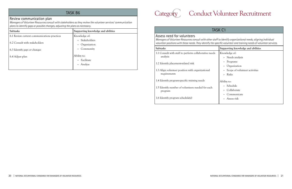# TASK B6

# Review communication plan

*Managers of Volunteer Resources consult with stakeholders as they review the volunteer services' communication plans to identify gaps or possible changes, adjusting the plans as necessary.*

| <b>Subtasks</b>                             | Supporting knowledge and abilities |
|---------------------------------------------|------------------------------------|
| 6.1 Review current communications practices | Knowledge of:                      |
| 6.2 Consult with stakeholders               | Stakeholders                       |
|                                             | Organization                       |
| 6.3 Identify gaps or changes                | Community<br>$\bullet$             |
| 6.4 Adjust plan                             | Ability to:                        |
|                                             | Facilitate                         |
|                                             | Analyze                            |
|                                             |                                    |

| <b>TASK C1</b>                                                                                                                                                                                                                                                       |                                        |  |
|----------------------------------------------------------------------------------------------------------------------------------------------------------------------------------------------------------------------------------------------------------------------|----------------------------------------|--|
| Assess need for volunteers<br>Managers of Volunteer Resources consult with other staff to identify organizational needs, aligning individual<br>volunteer positions with these needs. They identify the specific volunteer and training needs of volunteer services. |                                        |  |
| Subtasks                                                                                                                                                                                                                                                             | Supporting knowledge and abilities     |  |
| 1.1 Consult with staff to perform collaborative needs<br>analysis                                                                                                                                                                                                    | Knowledge of:<br>Needs analysis        |  |
| 1.2 Identify placement-related risk                                                                                                                                                                                                                                  | Programs<br>Organization               |  |
| 1.3 Align volunteer position with organizational<br>requirements                                                                                                                                                                                                     | Scope of volunteer activities<br>Risks |  |
| 1.4 Identify program-specific training needs                                                                                                                                                                                                                         | Ability to:                            |  |
| 1.5 Identify number of volunteers needed for each<br>program                                                                                                                                                                                                         | Schedule<br>Collaborate                |  |
| 1.6 Identify program schedule(s)                                                                                                                                                                                                                                     | Communicate<br>Assess risk             |  |

# Category Conduct Volunteer Recruitment



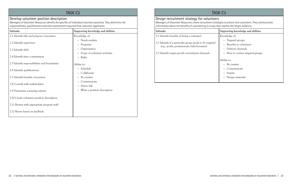# TASK C<sub>2</sub>

## Develop volunteer position description

*Managers of Volunteer Resources identify the specifics of individual volunteer positions. They determine the responsibilities, qualifications and time commitment required from volunteer applicants.*

# TASK C3 Design recruitment strategy for volunteers

| Subtasks                                                                      | Supporting knowledge and abilities                                                       |
|-------------------------------------------------------------------------------|------------------------------------------------------------------------------------------|
| 2.1 Identify title and purpose of position                                    | Knowledge of:                                                                            |
| 2.2 Identify supervisor<br>2.3 Identify shift<br>2.4 Identify time commitment | • Needs analysis<br>Programs<br>Organization<br>Scope of volunteer activities<br>• Risks |
| 2.5 Identify responsibilities and boundaries                                  | Ability to:                                                                              |
| 2.6 Identify qualifications                                                   | • Schedule<br>Collaborate                                                                |
| 2.7 Identify benefits of position                                             | Be creative                                                                              |
| 2.8 Consult with stakeholders                                                 | Communicate<br>Assess risk                                                               |
| 2.9 Determine screening criteria                                              | Write a position description                                                             |
| 2.10 Create volunteer position description                                    |                                                                                          |
| 2.11 Review with appropriate program staff                                    |                                                                                          |
| 2.12 Revise based on feedback                                                 |                                                                                          |

*Managers of Volunteer Resources create recruitment strategies to attract new volunteers. They communicate information about the benefits of volunteering in a way that reaches the target audience.*

| Subtasks                                                                                                                                                   | Supporting knowledge and abilities                                                                              |
|------------------------------------------------------------------------------------------------------------------------------------------------------------|-----------------------------------------------------------------------------------------------------------------|
| 3.1 Identify benefits of being a volunteer                                                                                                                 | Knowledge of:                                                                                                   |
| 3.2 Identify if a particular group needs to be targeted<br>(e.g., youth, professionals, baby boomers)<br>3.3 Identify target specific recruitment channels | Targeted groups<br>Benefits to volunteers<br>Delivery channels<br>$\bullet$<br>• How to contact targeted groups |
|                                                                                                                                                            | Ability to:                                                                                                     |
|                                                                                                                                                            | Be creative                                                                                                     |
|                                                                                                                                                            | Communicate                                                                                                     |
|                                                                                                                                                            | Inspire                                                                                                         |
|                                                                                                                                                            | Design materials                                                                                                |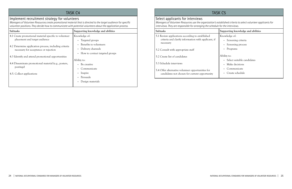# TASK C4

# Implement recruitment strategy for volunteers

*Managers of Volunteer Resources create promotional material that is directed to the target audience for specific volunteer positions. They decide how to communicate with potential volunteers about the application process.*

| <b>Subtasks</b>                                       | Supporting knowledge and abilities          |
|-------------------------------------------------------|---------------------------------------------|
| 4.1 Create promotional material specific to volunteer | Knowledge of:                               |
| placement and target audience                         | Targeted groups<br>$\bullet$                |
| 4.2 Determine application process, including criteria | Benefits to volunteers                      |
| necessary for acceptance or rejection                 | Delivery channels                           |
|                                                       | How to contact targeted groups<br>$\bullet$ |
| 4.3 Identify and attend promotional opportunities     |                                             |
|                                                       | Ability to:                                 |
| 4.4 Disseminate promotional material (e.g., posters,  | Be creative                                 |
| postings)                                             | Communicate                                 |
| 4.5. Collect applications                             | Inspire                                     |
|                                                       | Persuade                                    |
|                                                       | Design materials                            |
|                                                       |                                             |

## Select applicants for interviews

*Managers of Volunteer Resources use the organization's established criteria to select volunteer applicants for interviews. They are responsible for arranging the schedule for the interviews.*

- 5.1 Review applications according to established criteria and clarify information with applicant, i necessary
- 5.2 Consult with appropriate staff
- 5.2 Create list of candidates
- 5.3 Schedule interviews
- 5.4 Offer alternative volunteer opportunities for candidates not chosen for current opportunity

# TASK C5

| Subtasks                                                                                                             | Supporting knowledge and abilities          |
|----------------------------------------------------------------------------------------------------------------------|---------------------------------------------|
| 5.1 Review applications according to established<br>criteria and clarify information with applicant, if<br>necessary | Knowledge of:<br>• Screening criteria       |
| 5.2 Consult with appropriate staff                                                                                   | Screening process<br>Programs               |
| 5.2 Create list of candidates                                                                                        | Ability to:<br>• Select suitable candidates |
| 5.3 Schedule interviews                                                                                              | Make decisions                              |
| 5.4 Offer alternative volunteer opportunities for<br>candidates not chosen for current opportunity                   | Communicate<br>Create schedule              |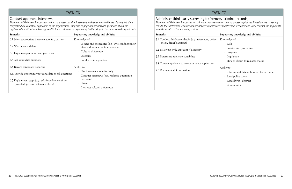# task C6

## Conduct applicant interviews

*Managers of Volunteer Resources conduct volunteer position interviews with selected candidates. During this time, they introduce volunteer applicants to the organization; they also engage applicants with questions about the applicants' qualifications. Managers of Volunteer Resources explain any further steps in the process to the applicants.*

| Supporting knowledge and abilities                                                                                                                          |
|-------------------------------------------------------------------------------------------------------------------------------------------------------------|
| Knowledge of:                                                                                                                                               |
| • Policies and procedures (e.g., who conducts inter-<br>view and number of interviewers)                                                                    |
| • Cultural differences                                                                                                                                      |
| Programs                                                                                                                                                    |
| Local labour legislation                                                                                                                                    |
| Ability to:<br>• Use interview tool effectively<br>Conduct interviews (e.g., rephrase question if<br>necessary)<br>Listen<br>Interpret cultural differences |
|                                                                                                                                                             |

# TASK C7

Administer third-party screening (references, criminal records) *Managers of Volunteer Resources run third-party screenings on new volunteer applicants. Based on the screening results, they determine whether applicants are suitable for available volunteer positions. They contact the applicants with the results of the screening review.*

| Subtasks                                                 | Supporting knowledge and abilities            |
|----------------------------------------------------------|-----------------------------------------------|
| 7.1 Conduct third-party checks (e.g., references, police | Knowledge of:                                 |
| check, driver's abstract)                                | Risk<br>$\bullet$                             |
| 7.2 Follow up with applicant if necessary                | Policies and procedures                       |
|                                                          | Programs                                      |
| 7.3 Determine applicant suitability                      | Legislation                                   |
| 7.4 Contact applicant to accept or reject application    | How to obtain third-party checks<br>$\bullet$ |
| 7.5 Document all information                             | Ability to:                                   |
|                                                          | Inform candidate of how to obtain checks      |
|                                                          | Read police check                             |
|                                                          | Read driver's abstract                        |
|                                                          | Communicate                                   |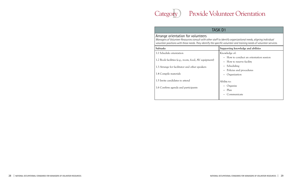# ry)



# Arrange orientation for volunteers

*Managers of Volunteer Resources consult with other staff to identify organizational needs, aligning individual volunteer positions with these needs. They identify the specific volunteer and training needs of volunteer services.*

| <b>Subtasks</b>                                      | Supporting knowledge and abilities                                   |
|------------------------------------------------------|----------------------------------------------------------------------|
| 1.1 Schedule orientation                             | Knowledge of:                                                        |
| 1.2 Book facilities (e.g., room, food, AV equipment) | • How to conduct an orientation session<br>• How to reserve facility |
| 1.3 Arrange for facilitator and other speakers       | Scheduling                                                           |
| 1.4 Compile materials                                | • Policies and procedures<br>Organization                            |
| 1.5 Invite candidates to attend                      | Ability to:                                                          |
| 1.6 Confirm agenda and participants                  | Organize<br>• Plan                                                   |
|                                                      | Communicate                                                          |

# Provide Volunteer Orientation

# TASK D1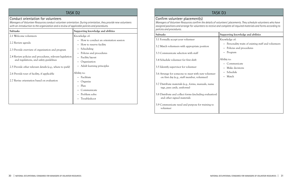# TASK D<sub>2</sub>

## Conduct orientation for volunteers

*Managers of Volunteer Resources conduct volunteer orientation. During orientation, they provide new volunteers with an introduction to the organization and a review of applicable policies and procedures.*

| <b>Subtasks</b>                                                                                    | Supporting knowledge and abilities                                                                                   |
|----------------------------------------------------------------------------------------------------|----------------------------------------------------------------------------------------------------------------------|
| 2.1 Welcome volunteers                                                                             | Knowledge of:                                                                                                        |
| 2.2 Review agenda                                                                                  | How to conduct an orientation session<br>$\bullet$<br>How to reserve facility<br>$\bullet$                           |
| 2.3 Provide overview of organization and program                                                   | Scheduling<br>$\bullet$<br>Policies and procedures<br>$\bullet$                                                      |
| 2.4 Review policies and procedures, relevant legislation<br>and regulations, and safety guidelines | <b>Facility layout</b><br>$\bullet$<br>Organization<br>$\bullet$                                                     |
| 2.5 Provide other relevant details (e.g., where to park)                                           | Adult learning principles<br>$\bullet$                                                                               |
| 2.6 Provide tour of facility, if applicable                                                        | Ability to:<br>Facilitate<br>$\bullet$                                                                               |
| 2.7 Revise orientation based on evaluation                                                         | Organize<br>$\bullet$<br>Plan<br>$\bullet$<br>Communicate<br>Problem solve<br>$\bullet$<br>Troubleshoot<br>$\bullet$ |
|                                                                                                    |                                                                                                                      |

# Confirm volunteer placement(s)

*Managers of Volunteer Resources confirm the details of volunteers' placements. They schedule volunteers who have assigned positions and arrange for volunteers to receive and complete all required materials and forms according to policies and procedures.*

| Subtasks                                                                                                                                                                                                                                                                                                                                                                                                                                                                                                                                                               | Supporting knowledge and abilities                                                                                                                                              |
|------------------------------------------------------------------------------------------------------------------------------------------------------------------------------------------------------------------------------------------------------------------------------------------------------------------------------------------------------------------------------------------------------------------------------------------------------------------------------------------------------------------------------------------------------------------------|---------------------------------------------------------------------------------------------------------------------------------------------------------------------------------|
| 3.1 Formally accept your volunteer<br>3.2 Match volunteers with appropriate position<br>3.3 Communicate selection with staff<br>3.4 Schedule volunteer for first shift<br>3.5 Identify supervisor for volunteer<br>3.6 Arrange for someone to meet with new volunteer<br>on first day (e.g., staff member, volunteer)<br>3.7 Distribute materials (e.g., forms, manuals, name<br>tags, pass cards, uniforms)<br>3.8 Distribute and collect forms (including evaluation)<br>and other signed materials<br>3.9 Communicate need and purpose for training to<br>volunteer | Knowledge of:<br>Personality traits of existing staff and volunteers<br>Policies and procedures<br>Program<br>Ability to:<br>Communicate<br>Make decisions<br>Schedule<br>Match |

- 3.6 Arrange for someone to meet with new volunteer on first day (e.g., staff member, volunteer)
- 3.7 Distribute materials (e.g., forms, manuals, name tags, pass cards, uniforms)
- 3.8 Distribute and collect forms (including evaluation) and other signed materials
- 3.9 Communicate need and purpose for training to volunteer

# TASK D3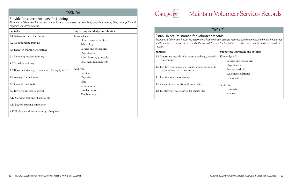# TASK D4

## Provide for placement-specific training

*Managers of Volunteer Resources communicate to volunteers the need for appropriate training. They arrange for and organize volunteer training.*

| Subtasks                                             | Supporting knowledge and abilities                                  |
|------------------------------------------------------|---------------------------------------------------------------------|
| 4.1 Determine need for training                      | Knowledge of:                                                       |
| 4.2 Communicate training                             | • How to reserve facility<br>Scheduling<br>$\bullet$                |
| 4.3 Research training alternatives                   | Policies and procedures<br>$\bullet$                                |
| 4.4 Select appropriate training                      | Organization<br>$\bullet$<br>Adult learning principles<br>$\bullet$ |
| 4.5 Schedule training                                | Placement requirements<br>$\bullet$                                 |
| 4.6 Book facilities (e.g., room, food, AV equipment) | Ability to:<br>Facilitate                                           |
| 4.7 Arrange for facilitator                          | Organize                                                            |
| 4.8 Compile materials                                | Plan<br>Communicate                                                 |
| 4.9 Invite volunteers to attend                      | Problem solve<br>$\bullet$                                          |
| 4.10 Conduct training, if applicable                 | Troubleshoot<br>$\bullet$                                           |
| 4.11 Record training completion                      |                                                                     |
| 4.12 Evaluate and revise training, if required       |                                                                     |

- 1.1 Determine records to be maintained (e.g., record timeframes)
- 1.2 Identify requirements of secure storage location paper and/or electronic records
- 1.3 Identify location of storage
- 1.4 Create storage location, if not existing
- 1.5 Identify staff access levels for secure files

# Category Maintain Volunteer Services Records

# TASK E1

# Establish secure storage for volunteer records

*Managers of Volunteer Resources determine which volunteer services records should be maintained and what storage will be required to house these records. They also determine the level of access other staff members will have to these records.*

| <b>Subtasks</b>                                                                                   | Supporting knowledge and abilities                          |
|---------------------------------------------------------------------------------------------------|-------------------------------------------------------------|
| 1.1 Determine records to be maintained (e.g., records,<br>timeframes)                             | Knowledge of:<br>• Policies and procedures                  |
| 1.2 Identify requirements of secure storage location for<br>paper and/or electronic records       | Organization<br>• Storage methods<br>• Relevant regulations |
| 1.3 Identify location of storage                                                                  | Best practices                                              |
| 1.4 Create storage location, if not existing<br>1.5 Identify staff access levels for secure files | Ability to:<br>Research<br>Analyze                          |
|                                                                                                   |                                                             |



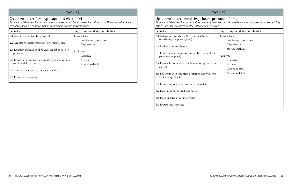# TASK E2

## Create volunteer files (e.g., paper and electronic)

*Managers of Volunteer Resources create volunteer records based on required information. They ensure that these records are filed in a cohesive system according to policies and procedures.*

| <b>Subtasks</b>                                                                    | Supporting knowledge and abilities                    |
|------------------------------------------------------------------------------------|-------------------------------------------------------|
| 2.1 Establish volunteer file checklist                                             | Knowledge of:                                         |
| 2.2 Acquire necessary materials (e.g., folders, tabs)                              | • Policies and procedures<br>Organization<br>٠        |
| 2.3 Establish method of filing (e.g., alphabetical, per<br>program)                | Ability to:<br>Research<br>$\bullet$                  |
| 2.4 Ensure all documents are in file (e.g., application,<br>confidentiality forms) | Analyze<br>$\bullet$<br>Attend to detail<br>$\bullet$ |
| 2.5 Transfer data from paper file to database                                      |                                                       |
| 2.6 Ensure secure storage                                                          |                                                       |

# TASK E3

Update volunteer records (e.g., hours, personal information) *Managers of Volunteer Resources update and verify volunteer records to reflect actual volunteer hours worked. They also ensure that volunteers' contact information is current.*

- 3.1 Determine how data will be captured (e.g., timesheets, computer system)
- 3.2 Collect volunteer hours
- 3.3 Enter data into volunteer record (i.e., either from paper or computer)
- 3.4 Reconcile hours with schedules to verify hours are correct
- 3.5 Follow up with volunteer or staff to clarify discrepancies, if applicable
- 3.6 Ensure personal information is up to date
- 3.7 Determine authorized user access
- 3.8 Place updates in volunteer files
- 3.9 Ensure secure storage

| Subtasks                                                                           | Supporting knowledge and abilities         |
|------------------------------------------------------------------------------------|--------------------------------------------|
| 3.1 Determine how data will be captured (e.g.,<br>timesheets, computer system)     | Knowledge of:<br>• Policies and procedures |
| 3.2 Collect volunteer hours                                                        | Organization<br>Storage methods            |
| 3.3 Enter data into volunteer record (i.e., either from<br>paper or computer)      | Ability to:<br>• Research                  |
| 3.4 Reconcile hours with schedules to verify hours are<br>correct                  | Analyze<br>Communicate                     |
| 3.5 Follow up with volunteer or staff to clarify discrep-<br>ancies, if applicable | Attend to detail                           |
| 3.6 Ensure personal information is up to date                                      |                                            |
| 3.7 Determine authorized user access                                               |                                            |
| 3.8 Place updates in volunteer files                                               |                                            |
| $2.0$ Exercise conversations of                                                    |                                            |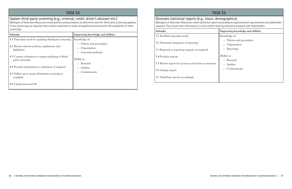# TASK E4

# Update third-party screening (e.g., criminal, credit, driver's abstract etc.)

*Managers of Volunteer Resources review policies and procedures to determine need for third-party screening updates. If new screenings are required, they contact volunteers to make arrangements and monitor the completion of these screenings.*

| <b>Subtasks</b>                                                         | Supporting knowledge and abilities                                                     |
|-------------------------------------------------------------------------|----------------------------------------------------------------------------------------|
| 4.1 Determine need for updating third-party screening                   | Knowledge of:                                                                          |
| 4.2 Review relevant policies, regulations, and<br>legislation           | Policies and procedures<br>$\bullet$<br>Organization<br>Screening methods<br>$\bullet$ |
| 4.3 Contact volunteers to request updating of third-<br>party screening | Ability to:<br>Research                                                                |
| 4.4 Provide information to volunteers, if required                      | Analyze                                                                                |
| 4.5 Follow up to ensure third-party screening is<br>complete            | Communicate                                                                            |
| 4.6 Update personal file                                                |                                                                                        |

# TASK E5

Generate statistical reports (e.g., hours, demographics) *Managers of Volunteer Resources create statistical reports according to organizational requirements and stakeholder requests. They ensure that information is correct before sharing statistical analyses with stakeholders.*

| Subtasks                                               | Supporting knowledge and abilities        |
|--------------------------------------------------------|-------------------------------------------|
| 5.1 Establish reporting needs                          | Knowledge of:                             |
| 5.2 Determine frequency of reporting                   | • Policies and procedures<br>Organization |
| 5.3 Respond to reporting requests, as required         | Reporting                                 |
| 5.4 Produce reports                                    | Ability to:                               |
| 5.5 Review report for accuracy and revise as necessary | • Research<br>• Analyze                   |
| 5.6 Analyze report                                     | Communicate                               |
| 5.7 Distribute reports accordingly                     |                                           |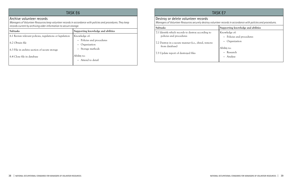# TASK E<sub>6</sub>

## Archive volunteer records

*Managers of Volunteer Resources keep volunteer records in accordance with policies and procedures. They keep records current by archiving older information to secure storage.*

| Subtasks                                                 | Supporting knowledge and abilities     |
|----------------------------------------------------------|----------------------------------------|
| 6.1 Review relevant policies, regulations or legislation | Knowledge of:                          |
| 6.2 Obtain file                                          | Policies and procedures<br>$\bullet$ . |
|                                                          | Organization                           |
| 6.3 File in archive section of secure storage            | Storage methods                        |
| 6.4 Close file in database                               | Ability to:                            |
|                                                          | • Attend to detail                     |
|                                                          |                                        |

# TASK E7

Destroy or delete volunteer records *Managers of Volunteer Resources securely destroy volunteer records in accordance with policies and procedures.*

## **Subtasks Supporting knowledge and abilities**

- 7.1 Identify which records to destroy according to policies and procedures
- 7.2 Destroy in a secure manner (i.e., shred, remove from database)
- 7.3 Update report of destroyed files

Knowledge of:

- Policies and procedures
- Organization

## Ability to:

- Research
- Analyze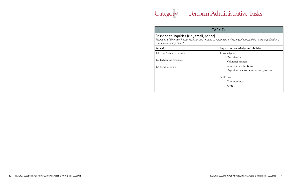# Category Perform Administrative Tasks

# TASK F1

# $r_{\nabla^{\perp}}$



Respond to inquiries (e.g., email, phone) *Managers of Volunteer Resources listen and respond to volunteer services inquiries according to the organization's communications protocol.*

| Subtasks                                    | Supporting knowledge and abilities                                                                   |
|---------------------------------------------|------------------------------------------------------------------------------------------------------|
| 1.1 Read/listen to inquiry                  | Knowledge of:                                                                                        |
| 1.2 Determine response<br>1.3 Send response | Organization<br>Volunteer services<br>Computer applications<br>Organizational communication protocol |
|                                             | Ability to:<br>Communicate<br>Write                                                                  |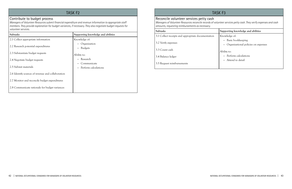# TASK F<sub>2</sub>

## Contribute to budget process

*Managers of Volunteer Resources submit financial expenditure and revenue information to appropriate staff members. They provide explanation for budget variances, if necessary. They also negotiate budget requests for volunteer services.*

| <b>Subtasks</b>                                   | Supporting knowledge and abilities                       |
|---------------------------------------------------|----------------------------------------------------------|
| 2.1 Collect appropriate information               | Knowledge of:                                            |
| 2.2 Research potential expenditures               | Organization<br>$\bullet$<br><b>Budgets</b><br>$\bullet$ |
| 2.3 Substantiate budget requests                  | Ability to:                                              |
| 2.4 Negotiate budget requests                     | Research<br>$\bullet$                                    |
| 2.5 Submit materials                              | Communicate<br>$\bullet$<br>Perform calculations         |
| 2.6 Identify sources of revenue and collaboration |                                                          |
| 2.7 Monitor and reconcile budget expenditures     |                                                          |
| 2.8 Communicate rationale for budget variances    |                                                          |

# TASK F3

Reconcile volunteer services petty cash *Managers of Volunteer Resources reconcile records of volunteer services petty cash. They verify expenses and cash amounts, requesting reimbursements as necessary.*

| Supporting knowledge and abilities  |  |
|-------------------------------------|--|
| Knowledge of:                       |  |
| Basic bookkeeping                   |  |
| Organizational policies on expenses |  |
| Ability to:                         |  |
| Perform calculations                |  |
| Attend to detail                    |  |
|                                     |  |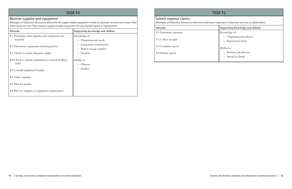## Monitor supplies and equipment

*Managers of Volunteer Resources determine the supply and/or equipment needs of volunteer services and ensure that these needs are met. They monitor supplies and/or equipment for any needed repairs or replacement.*

| <b>Subtasks</b>                                           | Supporting knowledge and abilities              |
|-----------------------------------------------------------|-------------------------------------------------|
| 4.1 Determine what supplies and equipment are<br>required | Knowledge of:<br>Organizational needs           |
| 4.2 Determine equipment tracking process                  | Equipment maintenance<br>How to access supplies |
| 4.3 Check to ensure adequate supply                       | Vendors<br>$\bullet$                            |
| 4.4 Check to ensure equipment is in good working<br>order | Ability to:<br>Observe                          |
| 4.5 Consult equipment budget                              | Analyze                                         |
| 4.6 Order supplies                                        |                                                 |
| 4.7 Plan for repairs                                      |                                                 |
| 4.8 Plan for supplies or equipment replacement            |                                                 |

# TASK F5

# Submit expense claims

*Managers of Volunteer Resources determine and report expenses of volunteer services to stakeholders.*

## **Subtasks Supporting knowledge and abilities**

5.1 Determine expenses

5.2 Collect receipts

5.3 Complete report

5.4 Submit report

Knowledge of:

- Organizational policies
- Report procedure

## Ability to:

- Perform calculations
- Attend to detail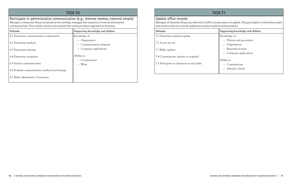Participate in administrative communication (e.g., internal memos, external emails) *Managers of Volunteer Resources decide on the methods, messages and recipients of internal and external communications. They initiate contact and evaluate their communications approach as necessary.*

| <b>Subtasks</b>                               | Supporting knowledge and abilities      |
|-----------------------------------------------|-----------------------------------------|
| 6.1 Determine communication requirement       | Knowledge of:                           |
| 6.2 Determine method                          | Organization<br>Communication etiquette |
| 6.3 Determine message                         | Computer applications                   |
| 6.4 Determine recipients                      | Ability to:<br>Communicate              |
| 6.5 Initiate communication                    | Write                                   |
| 6.6 Evaluate communication method and message |                                         |
| 6.7 Make adjustments, if necessary            |                                         |

# TASK F7

# Update office records

*Managers of Volunteer Resources determine if office records require an update. They participate in information audits and communicate any records updates according to policies and procedures.*

| Subtasks                                   | Supporting knowledge and abilities   |
|--------------------------------------------|--------------------------------------|
| 7.1 Determine required update              | Knowledge of:                        |
| 7.2 Access record                          | Policies and procedures<br>$\bullet$ |
|                                            | Organization<br>$\bullet$            |
| 7.3 Make updates                           | Reporting format<br>$\bullet$        |
|                                            | Computer applications<br>$\bullet$   |
| 7.4 Communicate updates as required        |                                      |
|                                            | Ability to:                          |
| 7.5 Participate in volunteer record audits | Communicate<br>$\bullet$             |
|                                            | Attend to detail<br>$\bullet$        |
|                                            |                                      |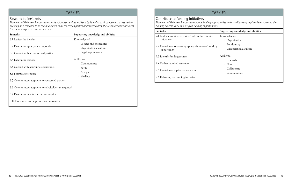## Respond to incidents

*Managers of Volunteer Resources reconcile volunteer services incidents by listening to all concerned parties before deciding on a response to be communicated to all concerned parties and stakeholders. They evaluate and document the resolution process and its outcome.*

| <b>Subtasks</b>                                                               | Supporting knowledge and abilities                                                     |
|-------------------------------------------------------------------------------|----------------------------------------------------------------------------------------|
| 8.1 Review the incident                                                       | Knowledge of:                                                                          |
| 8.2 Determine appropriate responder<br>8.3 Consult with all concerned parties | • Policies and procedures<br>Organizational culture<br>Legal requirements<br>$\bullet$ |
| 8.4 Determine options                                                         | Ability to:                                                                            |
| 8.5 Consult with appropriate personnel                                        | Communicate<br>Write                                                                   |
| 8.6 Formulate response                                                        | Analyze<br>Mediate<br>$\bullet$                                                        |
| 8.7 Communicate response to concerned parties                                 |                                                                                        |
| 8.8 Communicate response to stakeholders as required                          |                                                                                        |
| 8.9 Determine any further action required                                     |                                                                                        |
| 8.10 Document entire process and resolution                                   |                                                                                        |

# TASK F9

# Contribute to funding initiatives

*Managers of Volunteer Resources evaluate funding opportunities and contribute any applicable resources to the funding process. They follow up on funding opportunities.*

- 9.1 Evaluate volunteer services' role in the funding initiatives
- 9.2 Contribute to assessing appropriateness of funding opportunity
- 9.3 Identify funding sources
- 9.4 Gather required resources
- 9.5 Contribute applicable resources
- 9.6 Follow up on funding initiative

| Subtasks                                                              | Supporting knowledge and abilities         |
|-----------------------------------------------------------------------|--------------------------------------------|
| 9.1 Evaluate volunteer services' role in the funding<br>initiatives   | Knowledge of:<br>Organization<br>$\bullet$ |
| 9.2 Contribute to assessing appropriateness of funding<br>opportunity | Fundraising<br>Organizational culture      |
| 9.3 Identify funding sources                                          | Ability to:                                |
| 9.4 Gather required resources                                         | • Research<br>Plan                         |
| 9.5 Contribute applicable resources                                   | Collaborate<br>Communicate                 |
| 9.6 Follow up on funding initiative                                   |                                            |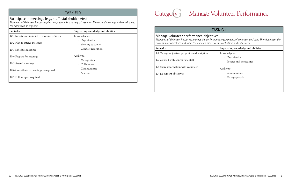# Participate in meetings (e.g., staff, stakeholder, etc.)

*Managers of Volunteer Resources plan and prepare for a variety of meetings. They attend meetings and contribute to the discussion as required.*

| <b>Subtasks</b>                               | Supporting knowledge and abilities |
|-----------------------------------------------|------------------------------------|
| 10.1 Initiate and respond to meeting requests | Knowledge of:                      |
|                                               | Organization                       |
| 10.2 Plan to attend meetings                  | Meeting etiquette                  |
| 10.3 Schedule meetings                        | Conflict resolution                |
| 10.4 Prepare for meetings                     | Ability to:                        |
|                                               | Manage time                        |
| 10.5 Attend meetings                          | Collaborate                        |
| 10.6 Contribute to meetings as required       | Communicate                        |
|                                               | Analyze                            |
| 10.7 Follow up as required                    |                                    |
|                                               |                                    |

Manage volunteer performance objectives *Managers of Volunteer Resources manage the performance requirements of volunteer positions. They document the performance objectives and share these requirements with stakeholders and volunteers.*

| Subtasks                                                                             | Supporting knowledge and abilities                       |
|--------------------------------------------------------------------------------------|----------------------------------------------------------|
| 1.1 Manage objectives per position description<br>1.2 Consult with appropriate staff | Knowledge of:<br>Organization<br>Policies and procedures |
| 1.3 Share information with volunteer<br>1.4 Document objectives                      | Ability to:<br>Communicate                               |
|                                                                                      | Manage people                                            |





# Category Manage Volunteer Performance

# TASK G1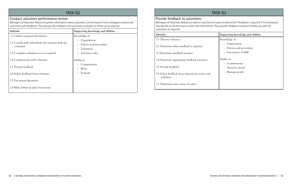# TASK G2

## Conduct volunteer performance review

*Managers of Volunteer Resources gather information about volunteers' performances from colleagues and provide volunteers with feedback. They discuss this feedback with volunteers and plan to follow up as required.*

| <b>Subtasks</b>                                                 | Supporting knowledge and abilities                                                           |
|-----------------------------------------------------------------|----------------------------------------------------------------------------------------------|
| 2.1 Gather required information                                 | Knowledge of:                                                                                |
| 2.2 Consult with individuals who interact with the<br>volunteer | Organization<br>$\bullet$<br>Policies and procedures<br>$\bullet$<br>Volunteers<br>$\bullet$ |
| 2.3 Complete evaluation tool as required                        | Volunteer roles<br>$\bullet$                                                                 |
| 2.4 Communicate with volunteer<br>2.5 Provide feedback          | Ability to:<br>Communicate<br>Write<br>$\bullet$                                             |
| 2.6 Solicit feedback from volunteer                             | Evaluate<br>$\bullet$                                                                        |
| 2.7 Document discussion                                         |                                                                                              |
| 2.8 Make follow up plan if necessary                            |                                                                                              |

# TASK G3

## Provide feedback to volunteers

*Managers of Volunteer Resources observe volunteers at work to determine if feedback is required. If it is necessary, they decide on the best way to share this information. They provide feedback and plan to follow up with the volunteers as required.*

| <b>Subtasks</b>                                                            | Supporting knowledge and abilities                                           |
|----------------------------------------------------------------------------|------------------------------------------------------------------------------|
| 3.1 Observe volunteer                                                      | Knowledge of:                                                                |
| 3.2 Determine when feedback is required<br>3.3 Determine feedback resource | Organization<br>$\bullet$<br>Policies and procedures<br>Assessment of skills |
| 3.4 Determine appropriate feedback resources                               | Ability to:                                                                  |
| 3.5 Provide feedback                                                       | Communicate<br>Attend to detail                                              |
| 3.6 Solicit feedback from supervisory source and<br>volunteer              | Manage people<br>$\bullet$                                                   |
| 3.7 Determine next course of action                                        |                                                                              |

## 3.6 Solicit feedback from supervisory source and volunteer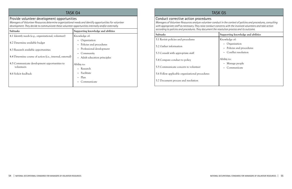# TASK G4

## Provide volunteer development opportunities

*Managers of Volunteer Resources determine organizational needs and identify opportunities for volunteer development. They decide to communicate these volunteer opportunities internally and/or externally.*

| Subtasks                                                   | Supporting knowledge and abilities                        |
|------------------------------------------------------------|-----------------------------------------------------------|
| 4.1 Identify needs (e.g., organizational, volunteer)       | Knowledge of:                                             |
| 4.2 Determine available budget                             | Organization<br>$\bullet$<br>Policies and procedures      |
| 4.3 Research available opportunities                       | Professional development<br>٠                             |
| 4.4 Determine course of action (i.e., internal, external)  | Community<br>٠<br>Adult education principles<br>$\bullet$ |
| 4.5 Communicate development opportunities to<br>volunteers | Ability to:<br>Research                                   |
| 4.6 Solicit feedback                                       | Facilitate<br>Plan                                        |
|                                                            | Communicate                                               |

# TASK G5

## Conduct corrective action procedures

*Managers of Volunteer Resources analyze volunteer conduct in the context of policies and procedures, consulting with appropriate staff as necessary. They raise conduct concerns with the involved volunteers and take action according to policies and procedures. They document the resolution process and its outcome.*

| <b>Subtasks</b>                                                                                                                                                                                                                 | Supporting knowledge and abilities                                                                                                 |
|---------------------------------------------------------------------------------------------------------------------------------------------------------------------------------------------------------------------------------|------------------------------------------------------------------------------------------------------------------------------------|
| 5.1 Revisit policies and procedures<br>5.2 Gather information<br>5.3 Consult with appropriate staff<br>5.4 Compare conduct to policy<br>5.5 Communicate concern to volunteer<br>5.6 Follow applicable organizational procedures | Knowledge of:<br>Organization<br>• Policies and procedures<br>Conflict resolution<br>Ability to:<br>• Manage people<br>Communicate |
|                                                                                                                                                                                                                                 |                                                                                                                                    |
|                                                                                                                                                                                                                                 |                                                                                                                                    |
| 5.7 Document process and resolution                                                                                                                                                                                             |                                                                                                                                    |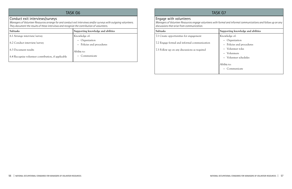# task G6

## Conduct exit interviews/surveys

*Managers of Volunteer Resources arrange for and conduct exit interviews and/or surveys with outgoing volunteers. They document the results of these interviews and recognize the contribution of volunteers.*

| <b>Subtasks</b>                                     | Supporting knowledge and abilities                                |
|-----------------------------------------------------|-------------------------------------------------------------------|
| 6.1 Arrange interview/survey                        | Knowledge of:                                                     |
| 6.2 Conduct interview/survey                        | Organization<br>$\bullet$<br>Policies and procedures<br>$\bullet$ |
| 6.3 Document results                                | Ability to:                                                       |
| 6.4 Recognize volunteer contribution, if applicable | Communicate                                                       |

# TASK G7

# Engage with volunteers

*Managers of Volunteer Resources engage volunteers with formal and informal communications and follow up on any discussions that arise from communication.*

| Subtasks                                                                                     | Supporting knowledge and abilities                                                                             |
|----------------------------------------------------------------------------------------------|----------------------------------------------------------------------------------------------------------------|
| 7.1 Create opportunities for engagement                                                      | Knowledge of:                                                                                                  |
| 7.2 Engage formal and informal communication<br>7.3 Follow up on any discussions as required | Organization<br>$\bullet$<br>• Policies and procedures<br>Volunteer roles<br>Volunteers<br>Volunteer schedules |
|                                                                                              | Ability to:<br>Communicate                                                                                     |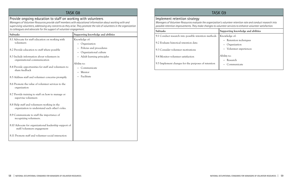# TASK G8

# Provide ongoing education to staff on working with volunteers

*Managers of Volunteer Resources provide staff members with educational information about working with and supervising volunteers, addressing any concerns as they arise. They promote the role of volunteers in the organization to colleagues and advocate for the support of volunteer engagement.*

| <b>Subtasks</b>                                                                                | Supporting knowledge and abilities                |
|------------------------------------------------------------------------------------------------|---------------------------------------------------|
| 8.1 Advocate for staff education on working with<br>volunteers                                 | Knowledge of:<br>Organization                     |
| 8.2 Provide education to staff where possible                                                  | Policies and procedures<br>Organizational culture |
| 8.3 Include information about volunteers in<br>organizational communication                    | Adult learning principles                         |
| 8.4 Provide opportunities for staff and volunteers to<br>share feedback                        | Ability to:<br>Communicate<br>Mentor              |
| 8.5 Address staff and volunteer concerns promptly                                              | Facilitate                                        |
| 8.6 Promote the value of volunteer services to the<br>organization                             |                                                   |
| 8.7 Provide training to staff on how to manage or<br>supervise volunteers                      |                                                   |
| 8.8 Help staff and volunteers working in the<br>organization to understand each other's roles. |                                                   |
| 8.9 Communicate to staff the importance of<br>recognizing volunteers.                          |                                                   |
| 8.10 Advocate for organizational leadership support of<br>staff/volunteers engagement          |                                                   |
| 8.11 Promote staff and volunteer social interaction                                            |                                                   |

# TASK G9

# Implement retention strategy

*Managers of Volunteer Resources evaluate the organization's volunteer retention rate and conduct research into possible retention improvements. They make changes to volunteer services to enhance volunteer satisfaction.*

| Subtasks                                             | Supporting knowledge and abilities                 |
|------------------------------------------------------|----------------------------------------------------|
| 9.1 Conduct research into possible retention methods | Knowledge of:                                      |
| 9.2 Evaluate historical retention data               | • Retention techniques                             |
| 9.3 Consider volunteer motivations                   | Organization<br>Volunteer experiences<br>$\bullet$ |
| 9.4 Monitor volunteer satisfaction                   | Ability to:<br>• Research                          |
| 9.5 Implement changes for the purposes of retention  | Communicate                                        |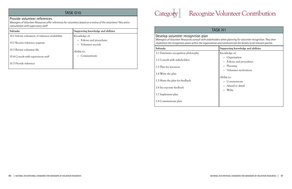# TASK G10

# Provide volunteer references

*Managers of Volunteer Resources offer references for volunteers based on a review of the volunteers' files and a consultation with supervisory staff.*

| <b>Subtasks</b>                                  | Supporting knowledge and abilities   |
|--------------------------------------------------|--------------------------------------|
| 10.1 Inform volunteers of reference availability | Knowledge of:                        |
| 10.2 Receive reference requests                  | Policies and procedures<br>$\bullet$ |
|                                                  | Volunteer records<br>$\bullet$       |
| 10.3 Review volunteer file                       | Ability to:                          |
| 10.4 Consult with supervisory staff              | Communicate<br>$\bullet$             |
| 10.5 Provide reference                           |                                      |

## Develop volunteer recognition plan

*Managers of Volunteer Resources consult with stakeholders when planning for volunteer recognition. They then implement the recognition plans within the organization and communicate the details to all relevant parties.*

| <b>Subtasks</b>                      | Supporting knowledge and abilities          |
|--------------------------------------|---------------------------------------------|
| 1.1 Determine recognition philosophy | Knowledge of:                               |
| 1.2 Consult with stakeholders        | • Organization<br>• Policies and procedures |
| 1.3 Plan for resources               | • Planning                                  |
| 1.4 Write the plan                   | • Volunteer motivations                     |
| 1.5 Share the plan for feedback      | Ability to:<br>• Communicate                |
| 1.6 Incorporate feedback             | • Attend to detail<br>• Write               |
| 1.7 Implement plan                   |                                             |
| 1.8 Communicate plan                 |                                             |



# Category Recognize Volunteer Contribution

# TASK H1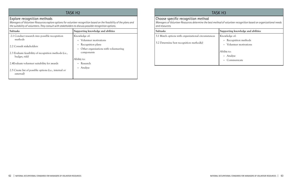# TASK H<sub>2</sub>

## Explore recognition methods

*Managers of Volunteer Resources explore options for volunteer recognition based on the feasibility of the plans and the suitability of volunteers. They consult with stakeholders to discuss possible recognition options.*

| Subtasks                                                            | Supporting knowledge and abilities                  |
|---------------------------------------------------------------------|-----------------------------------------------------|
| 2.1 Conduct research into possible recognition<br>methods           | Knowledge of:<br>Volunteer motivations<br>$\bullet$ |
| 2.2 Consult stakeholders                                            | Recognition plans<br>$\bullet$                      |
| 2.3 Evaluate feasibility of recognition methods (i.e.,              | Other organizations with volunteering<br>components |
| budget, risk)                                                       | Ability to:                                         |
| 2.4 Evaluate volunteer suitability for awards                       | Research                                            |
| 2.5 Create list of possible options (i.e., internal or<br>external) | Analyze<br>$\bullet$                                |
|                                                                     |                                                     |

# TASK H3

# Choose specific recognition method

*Managers of Volunteer Resources determine the best method of volunteer recognition based on organizational needs and resources.*

| Subtasks                                            | Supporting knowledge and abilities                              |
|-----------------------------------------------------|-----------------------------------------------------------------|
| 3.1 Match options with organizational circumstances | Knowledge of:                                                   |
| 3.2 Determine best recognition method(s)            | • Recognition methods<br>Volunteer motivations<br>$\bullet$     |
|                                                     | Ability to:<br>Analyze<br>$\bullet$<br>Communicate<br>$\bullet$ |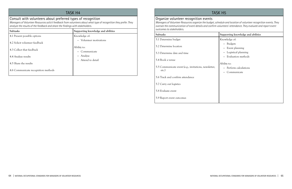# TASK H4

## Consult with volunteers about preferred types of recognition

*Managers of Volunteer Resources solicit feedback from volunteers about what type of recognition they prefer. They analyze the results of the feedback and share the findings with stakeholders.*

| <b>Subtasks</b>                     | Supporting knowledge and abilities      |
|-------------------------------------|-----------------------------------------|
| 4.1 Present possible options        | Knowledge of:                           |
| 4.2 Solicit volunteer feedback      | Volunteer motivations<br>$\bullet$ .    |
| 4.3 Collect that feedback           | Ability to:<br>Communicate<br>$\bullet$ |
| 4.4 Analyze results                 | Analyze<br>$\bullet$                    |
| 4.5 Share the results               | Attend to detail<br>$\bullet$           |
| 4.6 Communicate recognition methods |                                         |
|                                     |                                         |

# TASK H5

# Organize volunteer recognition events *outcomes to stakeholders.*

*Managers of Volunteer Resources organize the budget, schedule and location of volunteer recognition events. They oversee the communication of event details and confirm volunteers' attendance. They evaluate and report event* 

5.4 Book a venue

| Subtasks                                                       | Supporting knowledge and abilities                   |
|----------------------------------------------------------------|------------------------------------------------------|
| 5.1 Determine budget                                           | Knowledge of:                                        |
| 5.2 Determine location                                         | • Budgets<br>Event planning                          |
| 5.3 Determine date and time                                    | Logistical planning                                  |
| 5.4 Book a venue                                               | Evaluation methods                                   |
| 5.5 Communicate event (e.g., invitations, newsletter,<br>etc.) | Ability to:<br>• Perform calculations<br>Communicate |
| 5.6 Track and confirm attendance                               |                                                      |
| 5.7 Carry out logistics                                        |                                                      |
| 5.8 Evaluate event                                             |                                                      |

5.9 Report event outcomes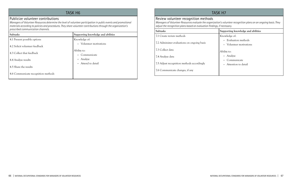# task H6

## Publicize volunteer contributions

*Managers of Volunteer Resources determine the level of volunteer participation in public events and promotional materials according to policies and procedures. They share volunteer contributions through the organization's prescribed communication channels.*

| <b>Subtasks</b>                     | Supporting knowledge and abilities      |
|-------------------------------------|-----------------------------------------|
| 4.1 Present possible options        | Knowledge of:                           |
| 4.2 Solicit volunteer feedback      | • Volunteer motivations                 |
| 4.3 Collect that feedback           | Ability to:<br>Communicate<br>$\bullet$ |
| 4.4 Analyze results                 | Analyze<br>$\bullet$                    |
| 4.5 Share the results               | • Attend to detail                      |
| 4.6 Communicate recognition methods |                                         |

# TASK H7

Review volunteer recognition methods *Managers of Volunteer Resources evaluate the organization's volunteer recognition plans on an ongoing basis. They adjust the recognition plans based on evaluation findings, if necessary.*

| Subtasks                                    | Supporting knowledge and abilities              |
|---------------------------------------------|-------------------------------------------------|
| 7.1 Create review methods                   | Knowledge of:                                   |
| 7.2 Administer evaluations on ongoing basis | • Evaluation methods<br>• Volunteer motivations |
| 7.3 Collect data                            | Ability to:                                     |
| 7.4 Analyze data                            | • Analyze                                       |
| 7.5 Adjust recognition methods accordingly  | Communicate<br>• Attention to detail            |
| 7.6 Communicate changes, if any             |                                                 |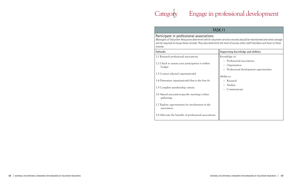# Category

Г



# Engage in professional development

|                                                                                                                                                                                                                                                                                                                                                                                                                                      | TASK 11                                                                                                                                                   |  |
|--------------------------------------------------------------------------------------------------------------------------------------------------------------------------------------------------------------------------------------------------------------------------------------------------------------------------------------------------------------------------------------------------------------------------------------|-----------------------------------------------------------------------------------------------------------------------------------------------------------|--|
| Participate in professional associations<br>Managers of Volunteer Resources determine which volunteer services records should be maintained and what storage<br>will be required to house these records. They also determine the level of access other staff members will have to these<br>records.                                                                                                                                  |                                                                                                                                                           |  |
| Subtasks                                                                                                                                                                                                                                                                                                                                                                                                                             | Supporting knowledge and abilities                                                                                                                        |  |
| 1.1 Research professional associations<br>1.2 Check to ensure your participation is within<br>budget<br>1.3 Contact selected organization(s)<br>1.4 Determine organization(s) that is the best fit<br>1.5 Complete membership criteria<br>1.6 Attend association-specific meetings/online<br>gatherings<br>1.7 Explore opportunities for involvement in the<br>association<br>1.8 Advocate the benefits of professional associations | Knowledge of:<br>Professional associations<br>Organization<br>Professional development opportunities<br>Ability to:<br>Research<br>Analyze<br>Communicate |  |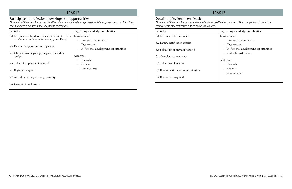# TASK 12

# Participate in professional development opportunities

*Managers of Volunteer Resources identify and participate in relevant professional development opportunities. They communicate the material they learned to colleagues.*

# TASK 13 Obtain professional certification

| <b>Subtasks</b>                                                                                           | Supporting knowledge and abilities                                       |
|-----------------------------------------------------------------------------------------------------------|--------------------------------------------------------------------------|
| 2.1 Research possible development opportunities (e.g.,<br>conferences, online, volunteering yourself etc) | Knowledge of:<br>Professional associations<br>$\bullet$                  |
| 2.2 Determine opportunities to pursue                                                                     | Organization<br>٠<br>Professional development opportunities<br>$\bullet$ |
| 2.3 Check to ensure your participation is within<br>budget                                                | Ability to:                                                              |
| 2.4 Submit for approval if required                                                                       | Research<br>Analyze<br>٠                                                 |
| 2.5 Register if required                                                                                  | Communicate<br>$\bullet$                                                 |
| 2.6 Attend or participate in opportunity                                                                  |                                                                          |
| 2.7 Communicate learning                                                                                  |                                                                          |

*Managers of Volunteer Resources review professional certification programs. They complete and submit the requirements for certification and re-certify as required.*

| Subtasks                                  | Supporting knowledge and abilities     |
|-------------------------------------------|----------------------------------------|
| 3.1 Research certifying bodies            | Knowledge of:                          |
|                                           | Professional associations              |
| 3.2 Review certification criteria         | Organization                           |
| 3.3 Submit for approval if required       | Professional development opportunities |
|                                           | Available certifications               |
| 3.4 Complete requirements                 |                                        |
|                                           | Ability to:                            |
| 3.5 Submit requirements                   | • Research                             |
| 3.6 Receive notification of certification | • Analyze                              |
|                                           | Communicate                            |
| 3.7 Re-certify as required                |                                        |
|                                           |                                        |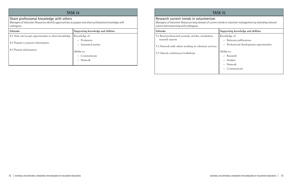# TASK 14

## Share professional knowledge with others

*Managers of Volunteer Resources identify opportunities to prepare and share professional knowledge with colleagues.*

| <b>Subtasks</b>                                      | Supporting knowledge and abilities                              |
|------------------------------------------------------|-----------------------------------------------------------------|
| 4.1 Seek out/accept opportunities to share knowledge | Knowledge of:                                                   |
| 4.2 Prepare to present information                   | Profession<br>$\bullet$                                         |
|                                                      | Interested parties<br>$\bullet$                                 |
| 4.3 Present information                              | Ability to:<br>Communicate<br>$\bullet$<br>Network<br>$\bullet$ |

# TASK I5

Research current trends in volunteerism *Managers of Volunteer Resources keep abreast of current trends in volunteer management by attending relevant events and networking with colleagues.*

- 5.1 Read professional journals, articles, newsletters, research reports
- 5.2 Network with others working in volunteer service
- 5.3 Attend conferences/workshops

| Subtasks                                                                   | Supporting knowledge and abilities                             |
|----------------------------------------------------------------------------|----------------------------------------------------------------|
| 5.1 Read professional journals, articles, newsletters,<br>research reports | Knowledge of:<br>• Relevant publications                       |
| 5.2 Network with others working in volunteer services                      | Professional development opportunities                         |
| 5.3 Attend conferences/workshops                                           | Ability to:<br>• Research<br>Analyze<br>Network<br>Communicate |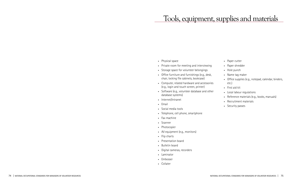- Physical space
- Private room for meeting and interviewing
- • Storage space for volunteer belongings
- • Office furniture and furnishings (e.g., desk, chair, locking file cabinets, bookcase)
- • Computer, related hardware and accessories (e.g., login and touch screen, printer)
- • Software (e.g., volunteer database and other database systems)
- • Internet/Intranet
- • Email
- Social media tools
- • Telephone, cell phone, smartphone
- • Fax machine
- • Scanner
- • Photocopier
- • AV equipment (e.g., monitors)
- Flip charts
- Presentation board
- Bulletin board
- • Digital cameras, recorders
- • Laminator
- • Embosser
- • Collater
- • Paper cutter
- Paper shredder
- Hole punch
- Name tag maker
- • Office supplies (e.g., notepad, calendar, binders, etc.)
- • First aid kit
- • Local labour regulations
- • Reference materials (e.g., books, manuals)
- • Recruitment materials
- Security passes

# Tools, equipment, supplies and materials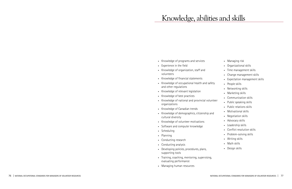- Managing risk
- • Organizational skills
- • Time management skills
- • Change management skills
- • Expectation management skills
- People skills
- • Networking skills
- Marketing skills
- • Communication skills
- • Public speaking skills
- • Public relations skills
- • Motivational skills
- Negotiation skills
- Advocacy skills
- • Leadership skills
- • Conflict resolution skills
- Problem-solving skills
- Writing skills
- • Math skills
- Design skills
- • Knowledge of programs and services
- • Experience in the field
- • Knowledge of organization, staff and volunteers
- • Knowledge of financial statements
- • Knowledge of occupational health and safety and other regulations
- • Knowledge of relevant legislation
- • Knowledge of best practices
- Knowledge of national and provincial volunteer organizations
- • Knowledge of Canadian trends
- • Knowledge of demographics, citizenship and cultural diversity
- • Knowledge of volunteer motivations
- • Software and computer knowledge
- • Scheduling
- • Planning
- • Conducting research
- • Conducting analysis
- • Developing policies, procedures, plans, supporting tools
- • Training, coaching, mentoring, supervising, evaluating performance
- Managing human resources

# Knowledge, abilities and skills

national occupational standards for managers of volunteer resources | 77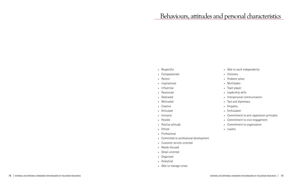- • Respectful
- • Compassionate
- • Patient
- Inspirational
- • Influential
- • Passionate
- • Dedicated
- • Motivated
- • Creative
- • Articulate
- Inclusive
- • Flexible
- Positive attitude
- • Ethical
- • Professional
- • Committed to professional development
- • Customer service-oriented
- Needs-focused
- Detail-oriented
- • Organized
- • Analytical
- • Able to manage stress
- • Able to work independently
- • Visionary
- Problem solver
- • Multitasker
- • Team player
- • Leadership skills
- • Interpersonal communication
- • Tact and diplomacy
- • Empathy
- • Enthusiasm
- • Commitment to anti-oppression principles
- • Commitment to civic engagement
- • Commitment to organization
- • Loyalty

# Behaviours, attitudes and personal characteristics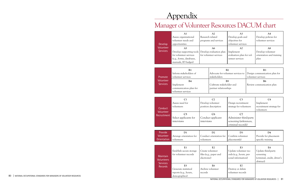# Appendix

# Manager of Volunteer Resources DACUM chart

|                 | Develop<br>Volunteer                       | A1<br>Assess organizational<br>volunteer needs and<br>opportunities                                                                            | A2<br>Research related<br>programs and services                                                                   |                                                             | A <sub>3</sub><br>Develop goals and<br>objectives for<br>volunteer services              |  | A4<br>Develop policies for<br>volunteer services                                  |  |
|-----------------|--------------------------------------------|------------------------------------------------------------------------------------------------------------------------------------------------|-------------------------------------------------------------------------------------------------------------------|-------------------------------------------------------------|------------------------------------------------------------------------------------------|--|-----------------------------------------------------------------------------------|--|
| <b>Services</b> |                                            | A <sub>5</sub><br>Develop supporting tools<br>for volunteer services<br>(e.g., forms, databases,<br>manuals, ID badges)                        | A6<br>Develop evaluation plan<br>for volunteer services                                                           |                                                             | A7<br>Implement<br>evaluation plan for vol-<br>unteer services                           |  | A8<br>Develop volunteer<br>orientation and training<br>plan                       |  |
|                 | Promote                                    | B1<br>Inform stakeholders of<br>volunteer services                                                                                             |                                                                                                                   | Advocate for volunteer services to<br>stakeholders          | B2                                                                                       |  | B <sub>3</sub><br>Design communication plan for<br>volunteer services             |  |
|                 | Volunteer<br><b>Services</b>               | B <sub>5</sub><br><b>B4</b><br>Cultivate stakeholder and<br>Implement<br>communication plan for<br>partner relationships<br>volunteer services |                                                                                                                   | <b>B6</b><br>Review communication plan                      |                                                                                          |  |                                                                                   |  |
|                 |                                            |                                                                                                                                                |                                                                                                                   |                                                             |                                                                                          |  |                                                                                   |  |
|                 | Conduct<br>Volunteer                       | C1<br>Assess need for<br>volunteers                                                                                                            |                                                                                                                   | C <sub>2</sub><br>Develop volunteer<br>position description | C <sub>3</sub><br>Design recruitment<br>strategy for volunteers                          |  | C <sub>4</sub><br>Implement<br>recruitment strategy for<br>volunteers             |  |
|                 | Recruitment                                | C <sub>5</sub><br>Select applicants for<br>interviews                                                                                          | C6<br>Conduct applicant<br>interviews                                                                             |                                                             | C7<br>Administer third-party<br>screening (references,<br>criminal records)              |  |                                                                                   |  |
|                 |                                            |                                                                                                                                                |                                                                                                                   |                                                             |                                                                                          |  |                                                                                   |  |
|                 | Provide<br>Volunteer<br><b>Orientation</b> | D1<br>Arrange orientation for<br>volunteers                                                                                                    | D2<br>Conduct orientation for<br>volunteers                                                                       |                                                             | D <sub>3</sub><br>Confirm volunteer<br>placement(s)                                      |  | D <sub>4</sub><br>Provide for placement-<br>specific training                     |  |
|                 |                                            |                                                                                                                                                |                                                                                                                   |                                                             |                                                                                          |  |                                                                                   |  |
|                 | Maintain<br><b>Volunteers</b>              | E1<br>Establish secure storage<br>for volunteer records                                                                                        | E2<br>Create volunteer<br>files (e.g., paper and<br>electronic)<br>E <sub>6</sub><br>Archive volunteer<br>records |                                                             | E <sub>3</sub><br>Update volunteer rec-<br>ords (e.g., hours, per-<br>sonal information) |  | E4<br>Update third-party<br>screening<br>(criminal, credit, driver's<br>abstract) |  |
|                 | <b>Services</b><br><b>Records</b>          | E <sub>5</sub><br>Generate statistical<br>reports (e.g., hours,<br>demographics)                                                               |                                                                                                                   |                                                             | E7<br>Destroy or delete<br>volunteer records                                             |  |                                                                                   |  |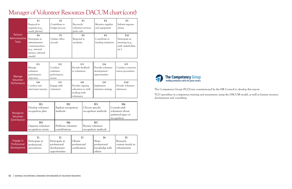# Manager of Volunteer Resources DACUM chart (cont)

|                                           | F1<br>Respond to<br>inquiries (e.g.,<br>email, phone)                            | F <sub>2</sub><br>Contribute to<br>budget process | F3<br>Reconcile<br>volunteer services<br>petty cash | F <sub>4</sub><br>Monitor supplies<br>and equipment | F <sub>5</sub><br>Submit expense<br>claims      |
|-------------------------------------------|----------------------------------------------------------------------------------|---------------------------------------------------|-----------------------------------------------------|-----------------------------------------------------|-------------------------------------------------|
| Perform<br>Administrative<br><b>Tasks</b> | F6<br>Participate in                                                             | F7<br>Update office                               | F8<br>Respond to                                    | F9<br>Contribute to                                 | <b>F10</b><br>Participate in                    |
|                                           | administrative<br>communication<br>(e.g., internal<br>memos, external<br>emails) | records                                           | incidents                                           | funding initiatives                                 | meetings (e.g.,<br>staff, stakeholder,<br>etc.) |

| Manage             | G <sub>1</sub><br>Manage<br>volunteer<br>performance | G <sub>2</sub><br>Conduct<br>volunteer<br>performance | G <sub>3</sub><br>Provide feedback<br>to volunteers | G4<br>Provide volunteer<br>development<br>opportunities | G5<br>Conduct corrective<br>action procedures |
|--------------------|------------------------------------------------------|-------------------------------------------------------|-----------------------------------------------------|---------------------------------------------------------|-----------------------------------------------|
| Volunteer          | objectives                                           | review                                                |                                                     |                                                         |                                               |
| <b>Performance</b> | G6                                                   | G7                                                    | G8                                                  | G9                                                      | G10                                           |
|                    | Conduct exit                                         | Engage with                                           | Provide ongoing                                     | Implement                                               | Provide volunteer                             |
|                    | interviews/surveys                                   | volunteers                                            | education to staff<br>working with                  | retention strategy                                      | references                                    |
|                    |                                                      |                                                       | volunteers                                          |                                                         |                                               |

| Recognize<br>Volunteer<br>Contribution | H1<br>Develop volunteer<br>recognition plan                | H <sub>2</sub><br>Explore recognition<br>methods       | H <sub>3</sub><br>Choose specific<br>recognition methods |                                       | H <sub>4</sub><br>Consult with<br>volunteers about<br>preferred types of<br>recognition |
|----------------------------------------|------------------------------------------------------------|--------------------------------------------------------|----------------------------------------------------------|---------------------------------------|-----------------------------------------------------------------------------------------|
|                                        | H <sub>5</sub><br>Organize volunteer<br>recognition events | H <sub>6</sub><br>Publicize volunteer<br>contributions | Review volunteer                                         | H <sub>7</sub><br>recognition methods |                                                                                         |
|                                        | т. - г                                                     | $T_{\Delta}$                                           | $T^{\prime}$                                             | T 4                                   | $\mathbf{r}$ $\mathbf{r}$                                                               |

|              |                |                |               | 14             |                   |
|--------------|----------------|----------------|---------------|----------------|-------------------|
| Engage in    | Participate in | Participate in | Obtain        | <b>Share</b>   | Research          |
| Professional | professional   | professional   | professional  | professional   | current trends in |
| Development  | associations   | development    | certification | knowledge with | , volunteerism    |
|              |                | opportunities  |               | others         |                   |



The Competency Group (TCG) was commissioned by the HR Council to develop this report. TCG specializes in competency training and assessment, using the DACUM model, as well as human resource

development and consulting.